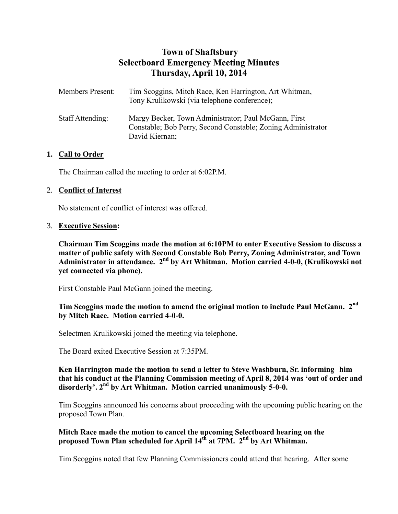# **Town of Shaftsbury Selectboard Emergency Meeting Minutes Thursday, April 10, 2014**

| <b>Members Present:</b> | Tim Scoggins, Mitch Race, Ken Harrington, Art Whitman,<br>Tony Krulikowski (via telephone conference);                                 |
|-------------------------|----------------------------------------------------------------------------------------------------------------------------------------|
| Staff Attending:        | Margy Becker, Town Administrator; Paul McGann, First<br>Constable; Bob Perry, Second Constable; Zoning Administrator<br>David Kiernan; |

# **1. Call to Order**

The Chairman called the meeting to order at 6:02P.M.

# 2. **Conflict of Interest**

No statement of conflict of interest was offered.

#### 3. **Executive Session:**

**Chairman Tim Scoggins made the motion at 6:10PM to enter Executive Session to discuss a matter of public safety with Second Constable Bob Perry, Zoning Administrator, and Town**  Administrator in attendance. 2<sup>nd</sup> by Art Whitman. Motion carried 4-0-0, (Krulikowski not **yet connected via phone).**

First Constable Paul McGann joined the meeting.

# **Tim Scoggins made the motion to amend the original motion to include Paul McGann. 2nd by Mitch Race. Motion carried 4-0-0.**

Selectmen Krulikowski joined the meeting via telephone.

The Board exited Executive Session at 7:35PM.

#### **Ken Harrington made the motion to send a letter to Steve Washburn, Sr. informing him that his conduct at the Planning Commission meeting of April 8, 2014 was 'out of order and disorderly'. 2nd by Art Whitman. Motion carried unanimously 5-0-0.**

Tim Scoggins announced his concerns about proceeding with the upcoming public hearing on the proposed Town Plan.

# **Mitch Race made the motion to cancel the upcoming Selectboard hearing on the proposed Town Plan scheduled for April 14th at 7PM. 2nd by Art Whitman.**

Tim Scoggins noted that few Planning Commissioners could attend that hearing. After some